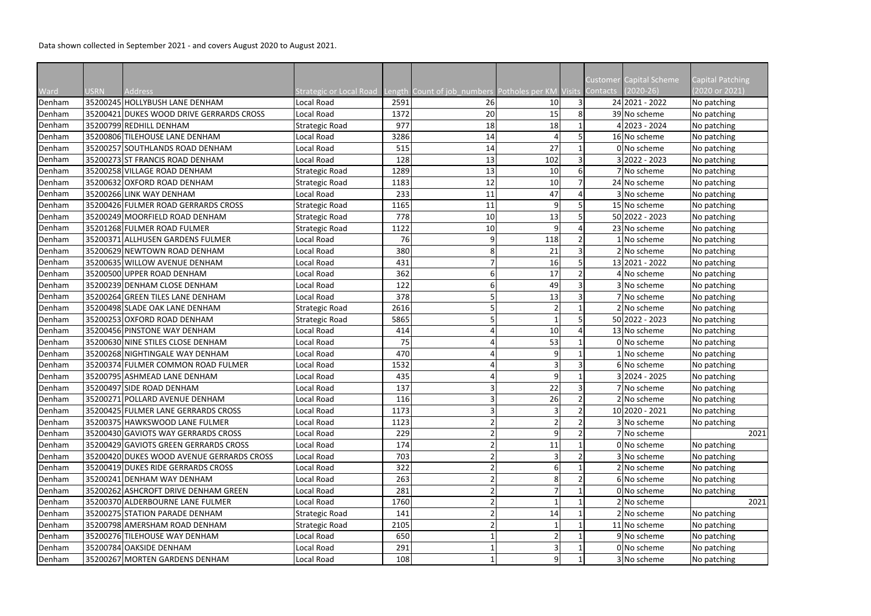Data shown collected in September 2021 - and covers August 2020 to August 2021.

|        |             |                                           |                                                                                     |      |    |     |   | Customer I | <b>Capital Scheme</b> | Capital Patching |
|--------|-------------|-------------------------------------------|-------------------------------------------------------------------------------------|------|----|-----|---|------------|-----------------------|------------------|
| Ward   | <b>USRN</b> | <b>Address</b>                            | Strategic or Local Road Length Count of job_numbers Potholes per KM Visits Contacts |      |    |     |   |            | $(2020-26)$           | (2020 or 2021)   |
| Denham |             | 35200245 HOLLYBUSH LANE DENHAM            | Local Road                                                                          | 2591 | 26 | 10  |   |            | 24 2021 - 2022        | No patching      |
| Denham |             | 35200421 DUKES WOOD DRIVE GERRARDS CROSS  | Local Road                                                                          | 1372 | 20 | 15  | 8 |            | 39 No scheme          | No patching      |
| Denham |             | 35200799 REDHILL DENHAM                   | Strategic Road                                                                      | 977  | 18 | 18  |   |            | 2023 - 2024           | No patching      |
| Denham |             | 35200806 TILEHOUSE LANE DENHAM            | Local Road                                                                          | 3286 | 14 |     |   |            | 16 No scheme          | No patching      |
| Denham |             | 35200257 SOUTHLANDS ROAD DENHAM           | Local Road                                                                          | 515  | 14 | 27  |   |            | 0 No scheme           | No patching      |
| Denham |             | 35200273 ST FRANCIS ROAD DENHAM           | Local Road                                                                          | 128  | 13 | 102 |   |            | $3 2022 - 2023$       | No patching      |
| Denham |             | 35200258 VILLAGE ROAD DENHAM              | <b>Strategic Road</b>                                                               | 1289 | 13 | 10  | 6 |            | 7 No scheme           | No patching      |
| Denham |             | 35200632 OXFORD ROAD DENHAM               | <b>Strategic Road</b>                                                               | 1183 | 12 | 10  |   |            | 24 No scheme          | No patching      |
| Denham |             | 35200266 LINK WAY DENHAM                  | Local Road                                                                          | 233  | 11 | 47  |   |            | 3 No scheme           | No patching      |
| Denham |             | 35200426 FULMER ROAD GERRARDS CROSS       | Strategic Road                                                                      | 1165 | 11 |     |   |            | 15 No scheme          | No patching      |
| Denham |             | 35200249 MOORFIELD ROAD DENHAM            | <b>Strategic Road</b>                                                               | 778  | 10 | 13  |   |            | 50 2022 - 2023        | No patching      |
| Denham |             | 35201268 FULMER ROAD FULMER               | <b>Strategic Road</b>                                                               | 1122 | 10 |     |   |            | 23 No scheme          | No patching      |
| Denham |             | 35200371 ALLHUSEN GARDENS FULMER          | Local Road                                                                          | 76   | 9  | 118 |   |            | 1 No scheme           | No patching      |
| Denham |             | 35200629 NEWTOWN ROAD DENHAM              | Local Road                                                                          | 380  | 8  | 21  |   |            | 2 No scheme           | No patching      |
| Denham |             | 35200635 WILLOW AVENUE DENHAM             | Local Road                                                                          | 431  |    | 16  |   |            | 13 2021 - 2022        | No patching      |
| Denham |             | 35200500 UPPER ROAD DENHAM                | Local Road                                                                          | 362  | 6  | 17  |   |            | 4 No scheme           | No patching      |
| Denham |             | 35200239 DENHAM CLOSE DENHAM              | Local Road                                                                          | 122  | 6  | 49  |   |            | 3 No scheme           | No patching      |
| Denham |             | 35200264 GREEN TILES LANE DENHAM          | Local Road                                                                          | 378  |    | 13  |   |            | 7 No scheme           | No patching      |
| Denham |             | 35200498 SLADE OAK LANE DENHAM            | <b>Strategic Road</b>                                                               | 2616 |    |     |   |            | 2 No scheme           | No patching      |
| Denham |             | 35200253 OXFORD ROAD DENHAM               | <b>Strategic Road</b>                                                               | 5865 | 5  |     |   |            | 50 2022 - 2023        | No patching      |
| Denham |             | 35200456 PINSTONE WAY DENHAM              | Local Road                                                                          | 414  |    | 10  |   |            | 13 No scheme          | No patching      |
| Denham |             | 35200630 NINE STILES CLOSE DENHAM         | Local Road                                                                          | 75   |    | 53  |   |            | 0 No scheme           | No patching      |
| Denham |             | 35200268 NIGHTINGALE WAY DENHAM           | Local Road                                                                          | 470  |    |     |   |            | 1 No scheme           | No patching      |
| Denham |             | 35200374 FULMER COMMON ROAD FULMER        | Local Road                                                                          | 1532 |    |     |   |            | 6 No scheme           | No patching      |
| Denham |             | 35200795 ASHMEAD LANE DENHAM              | Local Road                                                                          | 435  |    |     |   |            | 3 2024 - 2025         | No patching      |
| Denham |             | 35200497 SIDE ROAD DENHAM                 | Local Road                                                                          | 137  |    | 22  |   |            | 7 No scheme           | No patching      |
| Denham |             | 35200271 POLLARD AVENUE DENHAM            | Local Road                                                                          | 116  | 3  | 26  |   |            | 2 No scheme           | No patching      |
| Denham |             | 35200425 FULMER LANE GERRARDS CROSS       | Local Road                                                                          | 1173 |    |     |   |            | 10 2020 - 2021        | No patching      |
| Denham |             | 35200375 HAWKSWOOD LANE FULMER            | Local Road                                                                          | 1123 |    |     |   |            | 3 No scheme           | No patching      |
| Denham |             | 35200430 GAVIOTS WAY GERRARDS CROSS       | Local Road                                                                          | 229  |    |     |   |            | 7 No scheme           | 2021             |
| Denham |             | 35200429 GAVIOTS GREEN GERRARDS CROSS     | Local Road                                                                          | 174  |    | 11  |   |            | 0 No scheme           | No patching      |
| Denham |             | 35200420 DUKES WOOD AVENUE GERRARDS CROSS | Local Road                                                                          | 703  |    |     |   |            | 3 No scheme           | No patching      |
| Denham |             | 35200419 DUKES RIDE GERRARDS CROSS        | Local Road                                                                          | 322  |    |     |   |            | 2 No scheme           | No patching      |
| Denham |             | 35200241 DENHAM WAY DENHAM                | Local Road                                                                          | 263  |    |     |   |            | 6 No scheme           | No patching      |
| Denham |             | 35200262 ASHCROFT DRIVE DENHAM GREEN      | Local Road                                                                          | 281  |    |     |   |            | 0 No scheme           | No patching      |
| Denham |             | 35200370 ALDERBOURNE LANE FULMER          | Local Road                                                                          | 1760 |    |     |   |            | 2 No scheme           | 2021             |
| Denham |             | 35200275 STATION PARADE DENHAM            | <b>Strategic Road</b>                                                               | 141  |    | 14  |   |            | 2 No scheme           | No patching      |
| Denham |             | 35200798 AMERSHAM ROAD DENHAM             | <b>Strategic Road</b>                                                               | 2105 |    |     |   |            | 11 No scheme          | No patching      |
| Denham |             | 35200276 TILEHOUSE WAY DENHAM             | Local Road                                                                          | 650  |    |     |   |            | 9 No scheme           | No patching      |
| Denham |             | 35200784 OAKSIDE DENHAM                   | Local Road                                                                          | 291  |    |     |   |            | 0 No scheme           | No patching      |
| Denham |             | 35200267 MORTEN GARDENS DENHAM            | Local Road                                                                          | 108  |    |     |   |            | 3 No scheme           | No patching      |